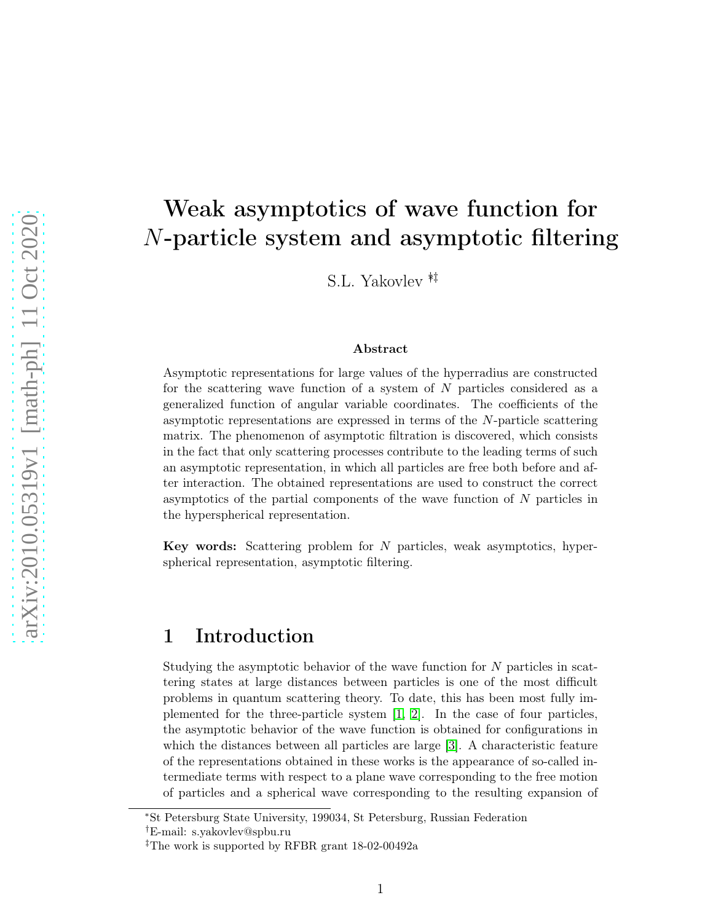# Weak asymptotics of wave function for N-particle system and asymptotic filtering

S.L. Yakovlev ∗†‡

#### Abstract

Asymptotic representations for large values of the hyperradius are constructed for the scattering wave function of a system of N particles considered as a generalized function of angular variable coordinates. The coefficients of the asymptotic representations are expressed in terms of the N-particle scattering matrix. The phenomenon of asymptotic filtration is discovered, which consists in the fact that only scattering processes contribute to the leading terms of such an asymptotic representation, in which all particles are free both before and after interaction. The obtained representations are used to construct the correct asymptotics of the partial components of the wave function of N particles in the hyperspherical representation.

Key words: Scattering problem for N particles, weak asymptotics, hyperspherical representation, asymptotic filtering.

## 1 Introduction

Studying the asymptotic behavior of the wave function for N particles in scattering states at large distances between particles is one of the most difficult problems in quantum scattering theory. To date, this has been most fully implemented for the three-particle system [\[1,](#page-19-0) [2\]](#page-19-1). In the case of four particles, the asymptotic behavior of the wave function is obtained for configurations in which the distances between all particles are large [\[3\]](#page-19-2). A characteristic feature of the representations obtained in these works is the appearance of so-called intermediate terms with respect to a plane wave corresponding to the free motion of particles and a spherical wave corresponding to the resulting expansion of

<sup>∗</sup>St Petersburg State University, 199034, St Petersburg, Russian Federation

<sup>†</sup>E-mail: s.yakovlev@spbu.ru

<sup>‡</sup>The work is supported by RFBR grant 18-02-00492а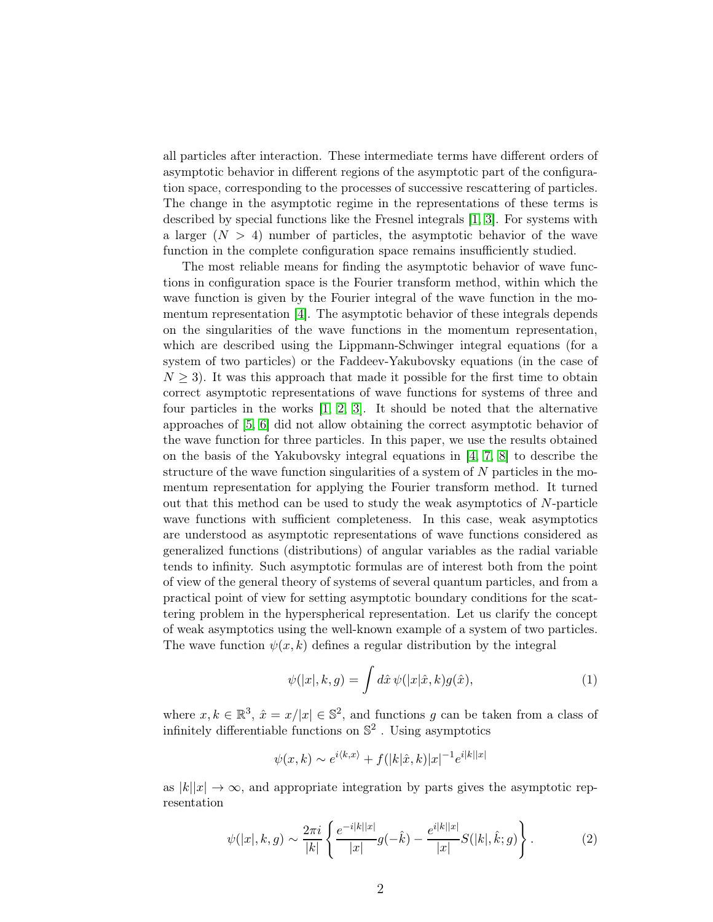all particles after interaction. These intermediate terms have different orders of asymptotic behavior in different regions of the asymptotic part of the configuration space, corresponding to the processes of successive rescattering of particles. The change in the asymptotic regime in the representations of these terms is described by special functions like the Fresnel integrals [\[1,](#page-19-0) [3\]](#page-19-2). For systems with a larger  $(N > 4)$  number of particles, the asymptotic behavior of the wave function in the complete configuration space remains insufficiently studied.

The most reliable means for finding the asymptotic behavior of wave functions in configuration space is the Fourier transform method, within which the wave function is given by the Fourier integral of the wave function in the momentum representation [\[4\]](#page-19-3). The asymptotic behavior of these integrals depends on the singularities of the wave functions in the momentum representation, which are described using the Lippmann-Schwinger integral equations (for a system of two particles) or the Faddeev-Yakubovsky equations (in the case of  $N \geq 3$ ). It was this approach that made it possible for the first time to obtain correct asymptotic representations of wave functions for systems of three and four particles in the works [\[1,](#page-19-0) [2,](#page-19-1) [3\]](#page-19-2). It should be noted that the alternative approaches of [\[5,](#page-19-4) [6\]](#page-19-5) did not allow obtaining the correct asymptotic behavior of the wave function for three particles. In this paper, we use the results obtained on the basis of the Yakubovsky integral equations in  $[4, 7, 8]$  $[4, 7, 8]$  $[4, 7, 8]$  to describe the structure of the wave function singularities of a system of N particles in the momentum representation for applying the Fourier transform method. It turned out that this method can be used to study the weak asymptotics of  $N$ -particle wave functions with sufficient completeness. In this case, weak asymptotics are understood as asymptotic representations of wave functions considered as generalized functions (distributions) of angular variables as the radial variable tends to infinity. Such asymptotic formulas are of interest both from the point of view of the general theory of systems of several quantum particles, and from a practical point of view for setting asymptotic boundary conditions for the scattering problem in the hyperspherical representation. Let us clarify the concept of weak asymptotics using the well-known example of a system of two particles. The wave function  $\psi(x, k)$  defines a regular distribution by the integral

<span id="page-1-0"></span>
$$
\psi(|x|,k,g) = \int d\hat{x} \,\psi(|x|\hat{x},k)g(\hat{x}),\tag{1}
$$

where  $x, k \in \mathbb{R}^3$ ,  $\hat{x} = x/|x| \in \mathbb{S}^2$ , and functions g can be taken from a class of infinitely differentiable functions on  $\mathbb{S}^2$ . Using asymptotics

<span id="page-1-1"></span>
$$
\psi(x,k) \sim e^{i\langle k,x \rangle} + f(|k|\hat{x},k)|x|^{-1}e^{i|k||x|}
$$

as  $|k||x| \to \infty$ , and appropriate integration by parts gives the asymptotic representation

$$
\psi(|x|, k, g) \sim \frac{2\pi i}{|k|} \left\{ \frac{e^{-i|k||x|}}{|x|} g(-\hat{k}) - \frac{e^{i|k||x|}}{|x|} S(|k|, \hat{k}; g) \right\}.
$$
 (2)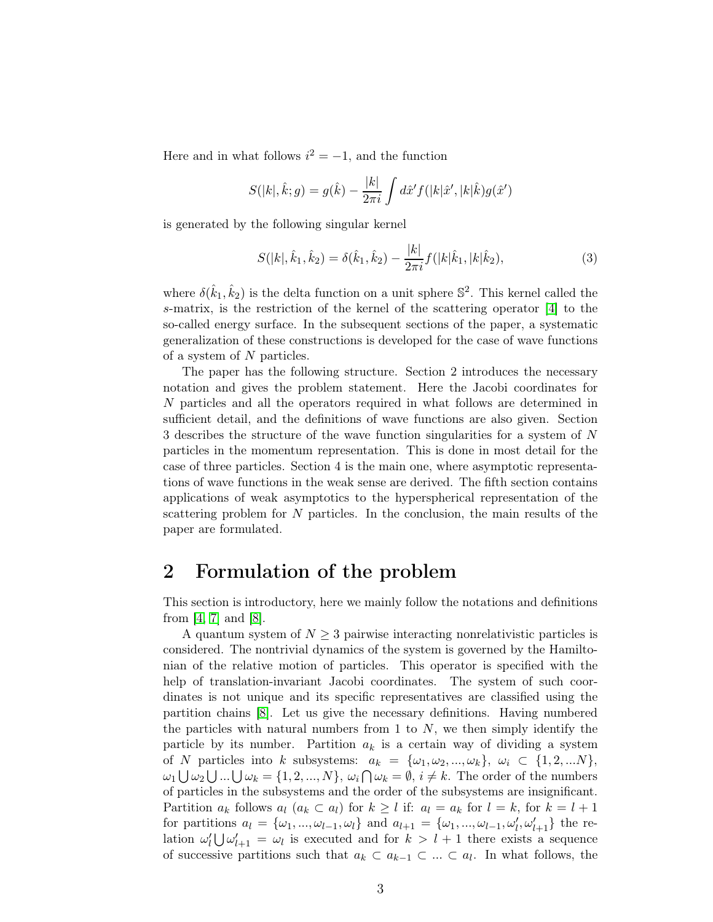Here and in what follows  $i^2 = -1$ , and the function

$$
S(|k|, \hat{k}; g) = g(\hat{k}) - \frac{|k|}{2\pi i} \int d\hat{x}' f(|k|\hat{x}', |k|\hat{k}) g(\hat{x}')
$$

is generated by the following singular kernel

<span id="page-2-1"></span>
$$
S(|k|, \hat{k}_1, \hat{k}_2) = \delta(\hat{k}_1, \hat{k}_2) - \frac{|k|}{2\pi i} f(|k|\hat{k}_1, |k|\hat{k}_2),
$$
\n(3)

where  $\delta(\hat{k}_1, \hat{k}_2)$  is the delta function on a unit sphere  $\mathbb{S}^2$ . This kernel called the s-matrix, is the restriction of the kernel of the scattering operator [\[4\]](#page-19-3) to the so-called energy surface. In the subsequent sections of the paper, a systematic generalization of these constructions is developed for the case of wave functions of a system of N particles.

The paper has the following structure. Section 2 introduces the necessary notation and gives the problem statement. Here the Jacobi coordinates for N particles and all the operators required in what follows are determined in sufficient detail, and the definitions of wave functions are also given. Section 3 describes the structure of the wave function singularities for a system of N particles in the momentum representation. This is done in most detail for the case of three particles. Section 4 is the main one, where asymptotic representations of wave functions in the weak sense are derived. The fifth section contains applications of weak asymptotics to the hyperspherical representation of the scattering problem for N particles. In the conclusion, the main results of the paper are formulated.

## <span id="page-2-0"></span>2 Formulation of the problem

This section is introductory, here we mainly follow the notations and definitions from  $[4, 7]$  $[4, 7]$  and  $[8]$ .

A quantum system of  $N \geq 3$  pairwise interacting nonrelativistic particles is considered. The nontrivial dynamics of the system is governed by the Hamiltonian of the relative motion of particles. This operator is specified with the help of translation-invariant Jacobi coordinates. The system of such coordinates is not unique and its specific representatives are classified using the partition chains [\[8\]](#page-19-7). Let us give the necessary definitions. Having numbered the particles with natural numbers from 1 to  $N$ , we then simply identify the particle by its number. Partition  $a_k$  is a certain way of dividing a system of N particles into k subsystems:  $a_k = {\omega_1, \omega_2, ..., \omega_k}, \omega_i \subset {1, 2, ...N}$  $\omega_1 \bigcup \omega_2 \bigcup ... \bigcup \omega_k = \{1, 2, ..., N\}, \omega_i \bigcap \omega_k = \emptyset, i \neq k.$  The order of the numbers of particles in the subsystems and the order of the subsystems are insignificant. Partition  $a_k$  follows  $a_l$   $(a_k \subset a_l)$  for  $k \geq l$  if:  $a_l = a_k$  for  $l = k$ , for  $k = l + 1$ for partitions  $a_l = {\omega_1, ..., \omega_{l-1}, \omega_l}$  and  $a_{l+1} = {\omega_1, ..., \omega_{l-1}, \omega'_l, \omega'_{l+1}}$  the relation  $\omega'_{l} \bigcup \omega'_{l+1} = \omega_{l}$  is executed and for  $k > l+1$  there exists a sequence of successive partitions such that  $a_k \subset a_{k-1} \subset ... \subset a_l$ . In what follows, the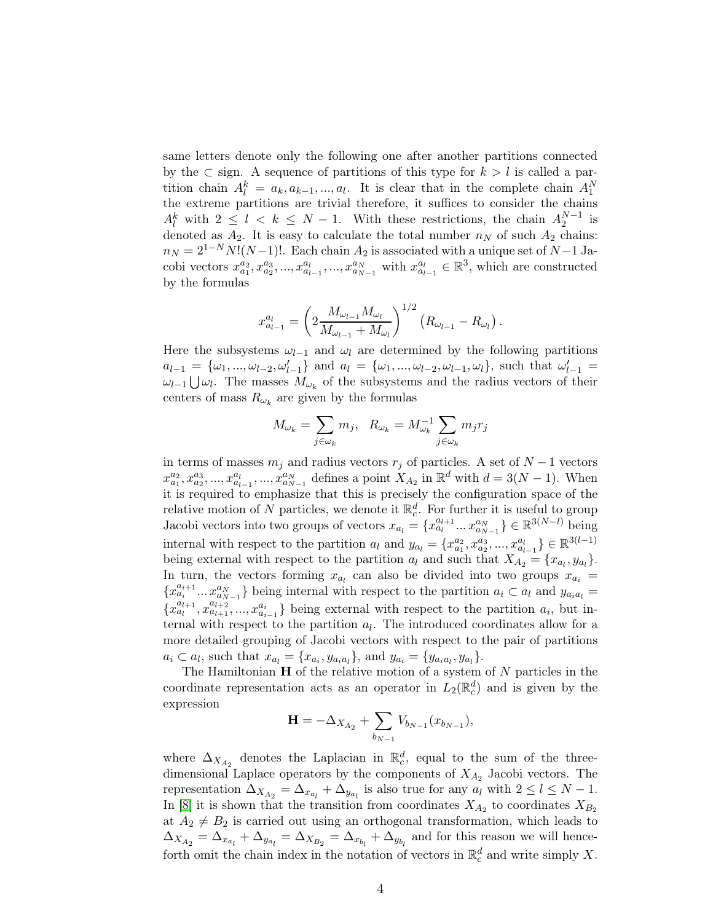same letters denote only the following one after another partitions connected by the  $\subset$  sign. A sequence of partitions of this type for  $k > l$  is called a partition chain  $A_l^k = a_k, a_{k-1}, ..., a_l$ . It is clear that in the complete chain  $A_l^N$ the extreme partitions are trivial therefore, it suffices to consider the chains  $A_l^k$  with  $2 \leq l \leq k \leq N-1$ . With these restrictions, the chain  $A_2^{N-1}$  is denoted as  $A_2$ . It is easy to calculate the total number  $n<sub>N</sub>$  of such  $A_2$  chains:  $n_N = 2^{1-N} N!(N-1)!$ . Each chain  $A_2$  is associated with a unique set of  $N-1$  Jacobi vectors  $x_{a_1}^{a_2}, x_{a_2}^{a_3}, ..., x_{a_{l-1}}^{a_l}, ..., x_{a_{N-1}}^{a_N}$  with  $x_{a_{l-1}}^{a_l} \in \mathbb{R}^3$ , which are constructed by the formulas

$$
x_{a_{l-1}}^{a_l} = \left(2\frac{M_{\omega_{l-1}}M_{\omega_l}}{M_{\omega_{l-1}}+M_{\omega_l}}\right)^{1/2} (R_{\omega_{l-1}}-R_{\omega_l}).
$$

Here the subsystems  $\omega_{l-1}$  and  $\omega_l$  are determined by the following partitions  $a_{l-1} = \{\omega_1, ..., \omega_{l-2}, \omega'_{l-1}\}\$ and  $a_l = \{\omega_1, ..., \omega_{l-2}, \omega_{l-1}, \omega_l\}\$ , such that  $\omega'_{l-1} =$  $ω_{l-1}$  ∪ $ω_l$ . The masses  $M_{ω_k}$  of the subsystems and the radius vectors of their centers of mass  $R_{\omega_k}$  are given by the formulas

$$
M_{\omega_k} = \sum_{j \in \omega_k} m_j, \quad R_{\omega_k} = M_{\omega_k}^{-1} \sum_{j \in \omega_k} m_j r_j
$$

in terms of masses  $m_j$  and radius vectors  $r_j$  of particles. A set of  $N-1$  vectors  $x_{a_1}^{a_2}, x_{a_2}^{a_3},..., x_{a_{l-1}}^{a_l},..., x_{a_{N-1}}^{a_N}$  defines a point  $X_{A_2}$  in  $\mathbb{R}^d$  with  $d = 3(N-1)$ . When it is required to emphasize that this is precisely the configuration space of the relative motion of N particles, we denote it  $\mathbb{R}_c^d$ . For further it is useful to group Jacobi vectors into two groups of vectors  $x_{a_l} = \{x_{a_l}^{a_{l+1}}...x_{a_{N-1}}^{a_N}\} \in \mathbb{R}^{3(N-l)}$  being internal with respect to the partition  $a_l$  and  $y_{a_l} = \{x_{a_1}^{a_2}, x_{a_2}^{a_3}, ..., x_{a_{l-1}}^{a_l}\} \in \mathbb{R}^{3(l-1)}$ being external with respect to the partition  $a_l$  and such that  $X_{A_2} = \{x_{a_l}, y_{a_l}\}.$ In turn, the vectors forming  $x_{a_i}$  can also be divided into two groups  $x_{a_i} =$  ${x_{a_i}^{a_{i+1}}...x_{a_{N-1}}^{a_N}}$  being internal with respect to the partition  $a_i \subset a_l$  and  $y_{a_i a_l} =$  ${x_{a_l}^{a_{l+1}}, x_{a_{l+1}}^{a_{l+2}},..., x_{a_{i-1}}^{a_i}}$  being external with respect to the partition  $a_i$ , but internal with respect to the partition  $a_l$ . The introduced coordinates allow for a more detailed grouping of Jacobi vectors with respect to the pair of partitions  $a_i \subset a_l$ , such that  $x_{a_l} = \{x_{a_i}, y_{a_i a_l}\}$ , and  $y_{a_i} = \{y_{a_i a_l}, y_{a_l}\}$ .

The Hamiltonian  $H$  of the relative motion of a system of  $N$  particles in the coordinate representation acts as an operator in  $L_2(\mathbb{R}^d_c)$  and is given by the expression

$$
\mathbf{H} = -\Delta_{X_{A_2}} + \sum_{b_{N-1}} V_{b_{N-1}}(x_{b_{N-1}}),
$$

where  $\Delta_{X_{A_2}}$  denotes the Laplacian in  $\mathbb{R}_c^d$ , equal to the sum of the threedimensional Laplace operators by the components of  $X_{A_2}$  Jacobi vectors. The representation  $\Delta_{X_{A_2}} = \Delta_{x_{a_l}} + \Delta_{y_{a_l}}$  is also true for any  $a_l$  with  $2 \leq l \leq N-1$ . In [\[8\]](#page-19-7) it is shown that the transition from coordinates  $X_{A_2}$  to coordinates  $X_{B_2}$ at  $A_2 \neq B_2$  is carried out using an orthogonal transformation, which leads to  $\Delta_{X_{A_2}} = \Delta_{x_{a_l}} + \Delta_{y_{a_l}} = \Delta_{X_{B_2}} = \Delta_{x_{b_l}} + \Delta_{y_{b_l}}$  and for this reason we will henceforth omit the chain index in the notation of vectors in  $\mathbb{R}^d_c$  and write simply X.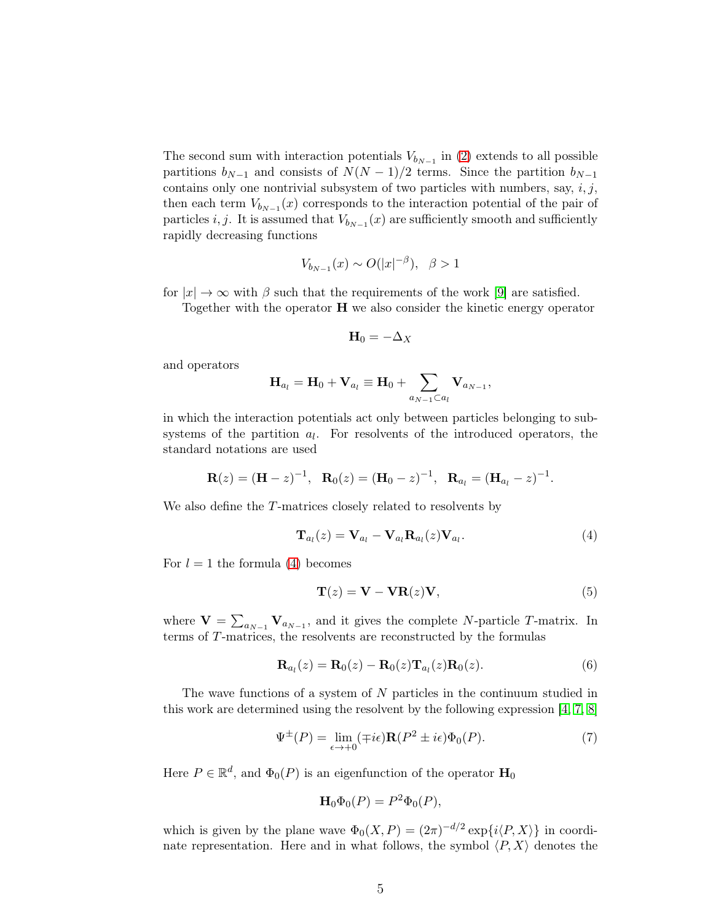The second sum with interaction potentials  $V_{b_{N-1}}$  in [\(2\)](#page-2-0) extends to all possible partitions  $b_{N-1}$  and consists of  $N(N-1)/2$  terms. Since the partition  $b_{N-1}$ contains only one nontrivial subsystem of two particles with numbers, say,  $i, j$ , then each term  $V_{b_{N-1}}(x)$  corresponds to the interaction potential of the pair of particles *i*, *j*. It is assumed that  $V_{b_{N-1}}(x)$  are sufficiently smooth and sufficiently rapidly decreasing functions

$$
V_{b_{N-1}}(x) \sim O(|x|^{-\beta}), \ \ \beta > 1
$$

for  $|x| \to \infty$  with  $\beta$  such that the requirements of the work [\[9\]](#page-19-8) are satisfied.

Together with the operator  $H$  we also consider the kinetic energy operator

$$
\mathbf{H}_0 = -\Delta_X
$$

and operators

$$
\mathbf{H}_{a_l} = \mathbf{H}_0 + \mathbf{V}_{a_l} \equiv \mathbf{H}_0 + \sum_{a_{N-1} \subset a_l} \mathbf{V}_{a_{N-1}},
$$

in which the interaction potentials act only between particles belonging to subsystems of the partition  $a_l$ . For resolvents of the introduced operators, the standard notations are used

$$
\mathbf{R}(z) = (\mathbf{H} - z)^{-1}, \quad \mathbf{R}_0(z) = (\mathbf{H}_0 - z)^{-1}, \quad \mathbf{R}_{a_l} = (\mathbf{H}_{a_l} - z)^{-1}.
$$

We also define the T-matrices closely related to resolvents by

<span id="page-4-0"></span>
$$
\mathbf{T}_{a_l}(z) = \mathbf{V}_{a_l} - \mathbf{V}_{a_l} \mathbf{R}_{a_l}(z) \mathbf{V}_{a_l}.
$$
\n(4)

For  $l = 1$  the formula [\(4\)](#page-4-0) becomes

<span id="page-4-3"></span>
$$
\mathbf{T}(z) = \mathbf{V} - \mathbf{V}\mathbf{R}(z)\mathbf{V},\tag{5}
$$

where  $\mathbf{V} = \sum_{a_{N-1}} \mathbf{V}_{a_{N-1}}$ , and it gives the complete N-particle T-matrix. In terms of T-matrices, the resolvents are reconstructed by the formulas

<span id="page-4-1"></span>
$$
\mathbf{R}_{a_l}(z) = \mathbf{R}_0(z) - \mathbf{R}_0(z)\mathbf{T}_{a_l}(z)\mathbf{R}_0(z).
$$
 (6)

The wave functions of a system of N particles in the continuum studied in this work are determined using the resolvent by the following expression [\[4,](#page-19-3) [7,](#page-19-6) [8\]](#page-19-7)

<span id="page-4-2"></span>
$$
\Psi^{\pm}(P) = \lim_{\epsilon \to +0} (\mp i\epsilon) \mathbf{R}(P^2 \pm i\epsilon) \Phi_0(P). \tag{7}
$$

Here  $P \in \mathbb{R}^d$ , and  $\Phi_0(P)$  is an eigenfunction of the operator  $\mathbf{H}_0$ 

$$
\mathbf{H}_0 \Phi_0(P) = P^2 \Phi_0(P),
$$

which is given by the plane wave  $\Phi_0(X, P) = (2\pi)^{-d/2} \exp\{i\langle P, X \rangle\}$  in coordinate representation. Here and in what follows, the symbol  $\langle P, X \rangle$  denotes the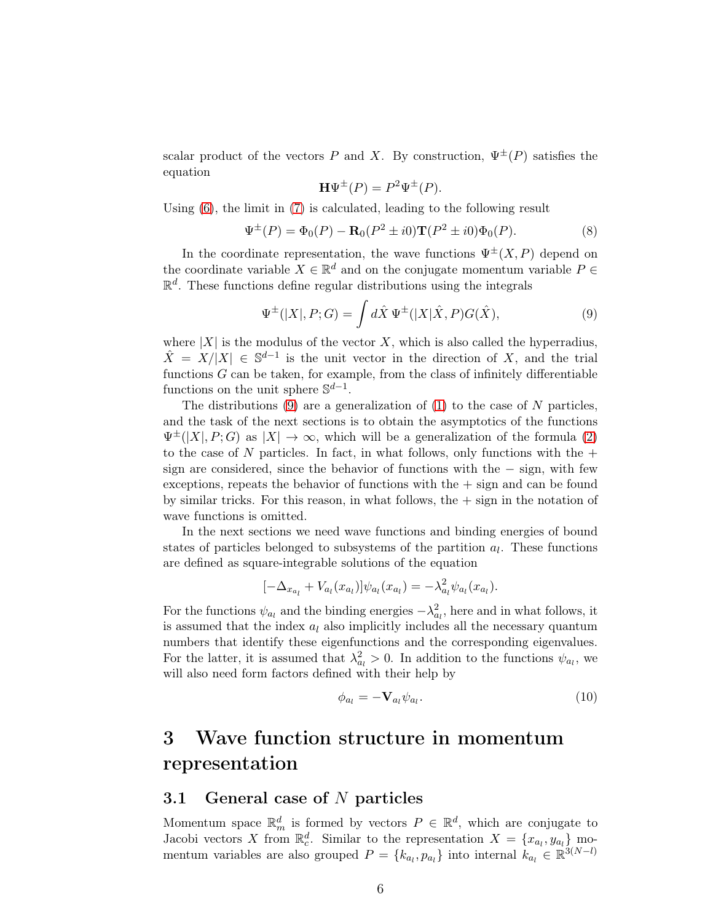scalar product of the vectors P and X. By construction,  $\Psi^{\pm}(P)$  satisfies the equation

<span id="page-5-0"></span>
$$
\mathbf{H}\Psi^{\pm}(P) = P^2 \Psi^{\pm}(P).
$$

Using  $(6)$ , the limit in  $(7)$  is calculated, leading to the following result

<span id="page-5-1"></span>
$$
\Psi^{\pm}(P) = \Phi_0(P) - \mathbf{R}_0(P^2 \pm i0)\mathbf{T}(P^2 \pm i0)\Phi_0(P). \tag{8}
$$

In the coordinate representation, the wave functions  $\Psi^{\pm}(X, P)$  depend on the coordinate variable  $X \in \mathbb{R}^d$  and on the conjugate momentum variable  $P \in$  $\mathbb{R}^d$ . These functions define regular distributions using the integrals

$$
\Psi^{\pm}(|X|, P; G) = \int d\hat{X} \Psi^{\pm}(|X|\hat{X}, P)G(\hat{X}), \tag{9}
$$

where  $|X|$  is the modulus of the vector X, which is also called the hyperradius,  $\hat{X} = X/|X| \in \mathbb{S}^{d-1}$  is the unit vector in the direction of X, and the trial functions  $G$  can be taken, for example, from the class of infinitely differentiable functions on the unit sphere  $\mathbb{S}^{d-1}$ .

The distributions  $(9)$  are a generalization of  $(1)$  to the case of N particles, and the task of the next sections is to obtain the asymptotics of the functions  $\Psi^{\pm}(|X|, P; G)$  as  $|X| \to \infty$ , which will be a generalization of the formula [\(2\)](#page-1-1) to the case of N particles. In fact, in what follows, only functions with the  $+$ sign are considered, since the behavior of functions with the − sign, with few exceptions, repeats the behavior of functions with the  $+$  sign and can be found by similar tricks. For this reason, in what follows, the  $+$  sign in the notation of wave functions is omitted.

In the next sections we need wave functions and binding energies of bound states of particles belonged to subsystems of the partition  $a_l$ . These functions are defined as square-integrable solutions of the equation

$$
[-\Delta_{x_{a_l}} + V_{a_l}(x_{a_l})] \psi_{a_l}(x_{a_l}) = -\lambda_{a_l}^2 \psi_{a_l}(x_{a_l}).
$$

For the functions  $\psi_{a_l}$  and the binding energies  $-\lambda_{a_l}^2$ , here and in what follows, it is assumed that the index  $a_l$  also implicitly includes all the necessary quantum numbers that identify these eigenfunctions and the corresponding eigenvalues. For the latter, it is assumed that  $\lambda_{a_l}^2 > 0$ . In addition to the functions  $\psi_{a_l}$ , we will also need form factors defined with their help by

<span id="page-5-2"></span>
$$
\phi_{a_l} = -\mathbf{V}_{a_l} \psi_{a_l}.\tag{10}
$$

## 3 Wave function structure in momentum representation

### 3.1 General case of N particles

Momentum space  $\mathbb{R}_m^d$  is formed by vectors  $P \in \mathbb{R}^d$ , which are conjugate to Jacobi vectors X from  $\mathbb{R}_c^d$ . Similar to the representation  $X = \{x_{a_l}, y_{a_l}\}\text{mo-}$ mentum variables are also grouped  $P = \{k_{a_l}, p_{a_l}\}\$ into internal  $k_{a_l} \in \mathbb{R}^{3(N-l)}$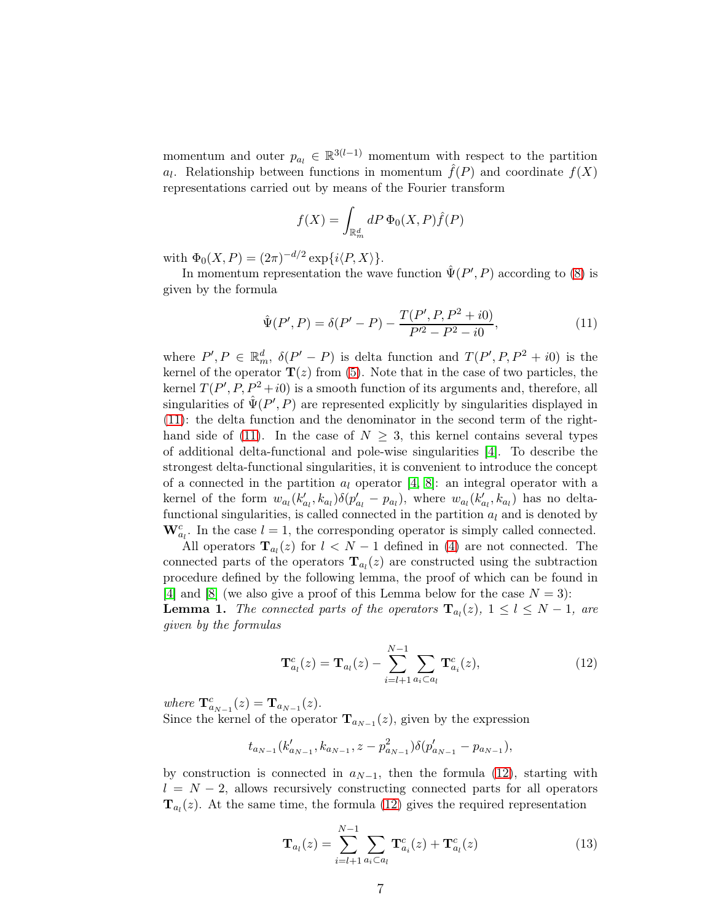momentum and outer  $p_{a_l} \in \mathbb{R}^{3(l-1)}$  momentum with respect to the partition  $a_l$ . Relationship between functions in momentum  $\hat{f}(P)$  and coordinate  $f(X)$ representations carried out by means of the Fourier transform

$$
f(X) = \int_{\mathbb{R}_m^d} dP \, \Phi_0(X, P) \hat{f}(P)
$$

with  $\Phi_0(X, P) = (2\pi)^{-d/2} \exp\{i \langle P, X \rangle\}.$ 

In momentum representation the wave function  $\hat{\Psi}(P', P)$  according to [\(8\)](#page-5-1) is given by the formula

<span id="page-6-0"></span>
$$
\hat{\Psi}(P', P) = \delta(P' - P) - \frac{T(P', P, P^2 + i0)}{P'^2 - P^2 - i0},\tag{11}
$$

where  $P', P \in \mathbb{R}_m^d$ ,  $\delta(P' - P)$  is delta function and  $T(P', P, P^2 + i0)$  is the kernel of the operator  $\mathbf{T}(z)$  from [\(5\)](#page-4-3). Note that in the case of two particles, the kernel  $T(P', P, P^2 + i0)$  is a smooth function of its arguments and, therefore, all singularities of  $\hat{\Psi}(P', P)$  are represented explicitly by singularities displayed in [\(11\)](#page-6-0): the delta function and the denominator in the second term of the right-hand side of [\(11\)](#page-6-0). In the case of  $N \geq 3$ , this kernel contains several types of additional delta-functional and pole-wise singularities [\[4\]](#page-19-3). To describe the strongest delta-functional singularities, it is convenient to introduce the concept of a connected in the partition  $a_l$  operator [\[4,](#page-19-3) [8\]](#page-19-7): an integral operator with a kernel of the form  $w_{a_l}(k'_{a_l}, k_{a_l})\delta(p'_{a_l} - p_{a_l})$ , where  $w_{a_l}(k'_{a_l}, k_{a_l})$  has no deltafunctional singularities, is called connected in the partition  $a_l$  and is denoted by  $\mathbf{W}_{a_l}^c$ . In the case  $l = 1$ , the corresponding operator is simply called connected.

All operators  $\mathbf{T}_{a_l}(z)$  for  $l < N-1$  defined in [\(4\)](#page-4-0) are not connected. The connected parts of the operators  $\mathbf{T}_{a_l}(z)$  are constructed using the subtraction procedure defined by the following lemma, the proof of which can be found in [\[4\]](#page-19-3) and [\[8\]](#page-19-7) (we also give a proof of this Lemma below for the case  $N = 3$ ): **Lemma 1.** The connected parts of the operators  $\mathbf{T}_{a_l}(z)$ ,  $1 \leq l \leq N-1$ , are

given by the formulas

<span id="page-6-1"></span>
$$
\mathbf{T}_{a_l}^c(z) = \mathbf{T}_{a_l}(z) - \sum_{i=l+1}^{N-1} \sum_{a_i \subset a_l} \mathbf{T}_{a_i}^c(z), \qquad (12)
$$

where  $\mathbf{T}_{a_{N-1}}^{c}(z) = \mathbf{T}_{a_{N-1}}(z)$ .

Since the kernel of the operator  $\mathbf{T}_{a_{N-1}}(z)$ , given by the expression

$$
t_{a_{N-1}}(k'_{a_{N-1}}, k_{a_{N-1}}, z-p_{a_{N-1}}^2)\delta(p'_{a_{N-1}}-p_{a_{N-1}}),
$$

by construction is connected in  $a_{N-1}$ , then the formula [\(12\)](#page-6-1), starting with  $l = N - 2$ , allows recursively constructing connected parts for all operators **. At the same time, the formula [\(12\)](#page-6-1) gives the required representation** 

<span id="page-6-2"></span>
$$
\mathbf{T}_{a_l}(z) = \sum_{i=l+1}^{N-1} \sum_{a_i \subset a_l} \mathbf{T}_{a_i}^c(z) + \mathbf{T}_{a_l}^c(z)
$$
 (13)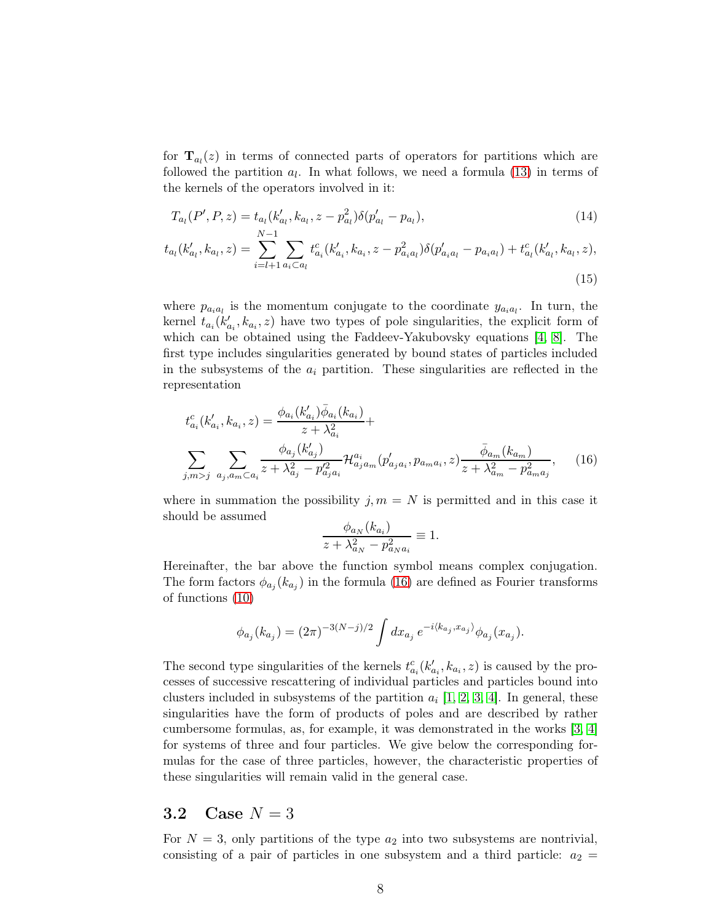for  $\mathbf{T}_{a_l}(z)$  in terms of connected parts of operators for partitions which are followed the partition  $a_l$ . In what follows, we need a formula [\(13\)](#page-6-2) in terms of the kernels of the operators involved in it:

$$
T_{a_l}(P', P, z) = t_{a_l}(k'_{a_l}, k_{a_l}, z - p_{a_l}^2) \delta(p'_{a_l} - p_{a_l}),
$$
\n
$$
\underline{N-1} \underline{\qquad} \qquad (14)
$$

$$
t_{a_l}(k'_{a_l}, k_{a_l}, z) = \sum_{i=l+1}^{N-1} \sum_{a_i \subset a_l} t^c_{a_i}(k'_{a_i}, k_{a_i}, z - p^2_{a_i a_l}) \delta(p'_{a_i a_l} - p_{a_i a_l}) + t^c_{a_l}(k'_{a_l}, k_{a_l}, z),
$$
\n(15)

where  $p_{a_i a_l}$  is the momentum conjugate to the coordinate  $y_{a_i a_l}$ . In turn, the kernel  $t_{a_i}(k'_{a_i}, k_{a_i}, z)$  have two types of pole singularities, the explicit form of which can be obtained using the Faddeev-Yakubovsky equations [\[4,](#page-19-3) [8\]](#page-19-7). The first type includes singularities generated by bound states of particles included in the subsystems of the  $a_i$  partition. These singularities are reflected in the representation

$$
t_{a_i}^c(k_{a_i}', k_{a_i}, z) = \frac{\phi_{a_i}(k_{a_i}')\bar{\phi}_{a_i}(k_{a_i})}{z + \lambda_{a_i}^2} + \sum_{j,m>j} \frac{\phi_{a_j}(k_{a_j}')}{z + \lambda_{a_j}^2 - p_{a_j a_i}^2} \mathcal{H}_{a_j a_m}^{a_i}(p_{a_j a_i}', p_{a_m a_i}, z) \frac{\bar{\phi}_{a_m}(k_{a_m})}{z + \lambda_{a_m}^2 - p_{a_m a_j}^2},
$$
 (16)

where in summation the possibility  $j, m = N$  is permitted and in this case it should be assumed

<span id="page-7-2"></span><span id="page-7-1"></span><span id="page-7-0"></span>
$$
\frac{\phi_{a_N}(k_{a_i})}{z + \lambda_{a_N}^2 - p_{a_N a_i}^2} \equiv 1.
$$

Hereinafter, the bar above the function symbol means complex conjugation. The form factors  $\phi_{a_j}(k_{a_j})$  in the formula [\(16\)](#page-7-0) are defined as Fourier transforms of functions [\(10\)](#page-5-2)

$$
\phi_{a_j}(k_{a_j}) = (2\pi)^{-3(N-j)/2} \int dx_{a_j} e^{-i\langle k_{a_j}, x_{a_j} \rangle} \phi_{a_j}(x_{a_j}).
$$

The second type singularities of the kernels  $t_{a_i}^c(k'_{a_i}, k_{a_i}, z)$  is caused by the processes of successive rescattering of individual particles and particles bound into clusters included in subsystems of the partition  $a_i$  [\[1,](#page-19-0) [2,](#page-19-1) [3,](#page-19-2) [4\]](#page-19-3). In general, these singularities have the form of products of poles and are described by rather cumbersome formulas, as, for example, it was demonstrated in the works [\[3,](#page-19-2) [4\]](#page-19-3) for systems of three and four particles. We give below the corresponding formulas for the case of three particles, however, the characteristic properties of these singularities will remain valid in the general case.

#### 3.2 Case  $N = 3$

For  $N = 3$ , only partitions of the type  $a_2$  into two subsystems are nontrivial, consisting of a pair of particles in one subsystem and a third particle:  $a_2 =$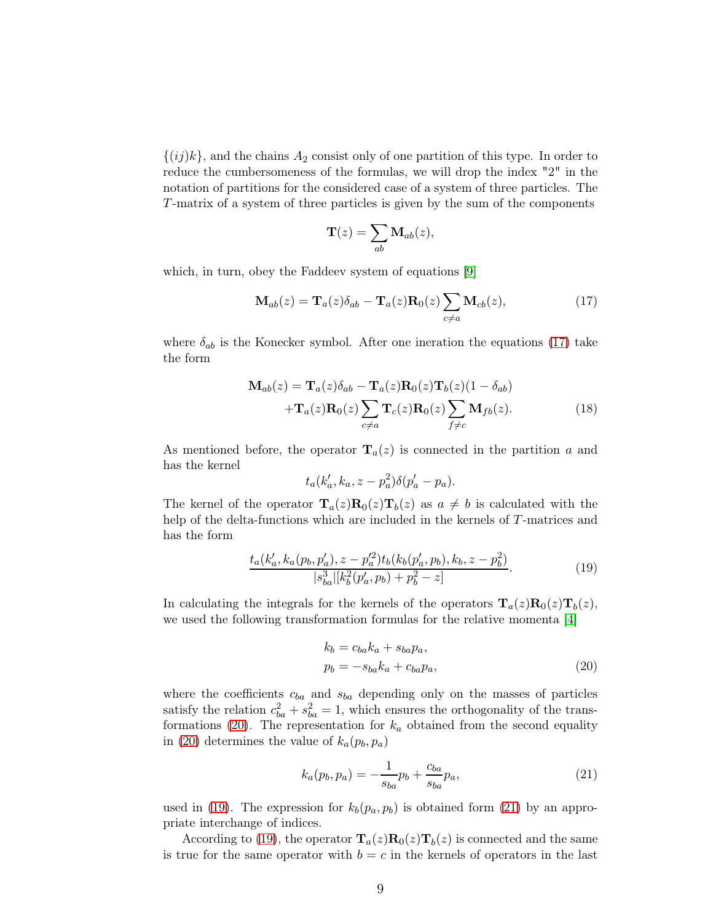$\{(ij)k\}$ , and the chains  $A_2$  consist only of one partition of this type. In order to reduce the cumbersomeness of the formulas, we will drop the index "2" in the notation of partitions for the considered case of a system of three particles. The T-matrix of a system of three particles is given by the sum of the components

$$
\mathbf{T}(z) = \sum_{ab} \mathbf{M}_{ab}(z),
$$

which, in turn, obey the Faddeev system of equations [\[9\]](#page-19-8)

<span id="page-8-0"></span>
$$
\mathbf{M}_{ab}(z) = \mathbf{T}_a(z)\delta_{ab} - \mathbf{T}_a(z)\mathbf{R}_0(z)\sum_{c \neq a} \mathbf{M}_{cb}(z),\tag{17}
$$

where  $\delta_{ab}$  is the Konecker symbol. After one ineration the equations [\(17\)](#page-8-0) take the form

$$
\mathbf{M}_{ab}(z) = \mathbf{T}_a(z)\delta_{ab} - \mathbf{T}_a(z)\mathbf{R}_0(z)\mathbf{T}_b(z)(1 - \delta_{ab})
$$
  
 
$$
+ \mathbf{T}_a(z)\mathbf{R}_0(z)\sum_{c \neq a} \mathbf{T}_c(z)\mathbf{R}_0(z)\sum_{f \neq c} \mathbf{M}_{fb}(z).
$$
 (18)

As mentioned before, the operator  $\mathbf{T}_a(z)$  is connected in the partition a and has the kernel

<span id="page-8-4"></span>
$$
t_a(k'_a, k_a, z - p_a^2)\delta(p'_a - p_a).
$$

The kernel of the operator  $\mathbf{T}_a(z)\mathbf{R}_0(z)\mathbf{T}_b(z)$  as  $a \neq b$  is calculated with the help of the delta-functions which are included in the kernels of T-matrices and has the form

<span id="page-8-2"></span>
$$
\frac{t_a(k'_a, k_a(p_b, p'_a), z - p'^2_a) t_b(k_b(p'_a, p_b), k_b, z - p^2_b)}{|s^3_{ba}| [k^2_b(p'_a, p_b) + p^2_b - z]}
$$
\n<sup>(19)</sup>

In calculating the integrals for the kernels of the operators  $\mathbf{T}_a(z)\mathbf{R}_0(z)\mathbf{T}_b(z)$ , we used the following transformation formulas for the relative momenta [\[4\]](#page-19-3)

<span id="page-8-1"></span>
$$
k_b = c_{ba}k_a + s_{ba}p_a,
$$
  
\n
$$
p_b = -s_{ba}k_a + c_{ba}p_a,
$$
\n(20)

where the coefficients  $c_{ba}$  and  $s_{ba}$  depending only on the masses of particles satisfy the relation  $c_{ba}^2 + s_{ba}^2 = 1$ , which ensures the orthogonality of the trans-formations [\(20\)](#page-8-1). The representation for  $k_a$  obtained from the second equality in [\(20\)](#page-8-1) determines the value of  $k_a(p_b, p_a)$ 

<span id="page-8-3"></span>
$$
k_a(p_b, p_a) = -\frac{1}{s_{ba}} p_b + \frac{c_{ba}}{s_{ba}} p_a,
$$
\n(21)

used in [\(19\)](#page-8-2). The expression for  $k_b(p_a, p_b)$  is obtained form [\(21\)](#page-8-3) by an appropriate interchange of indices.

According to [\(19\)](#page-8-2), the operator  $\mathbf{T}_a(z)\mathbf{R}_0(z)\mathbf{T}_b(z)$  is connected and the same is true for the same operator with  $b = c$  in the kernels of operators in the last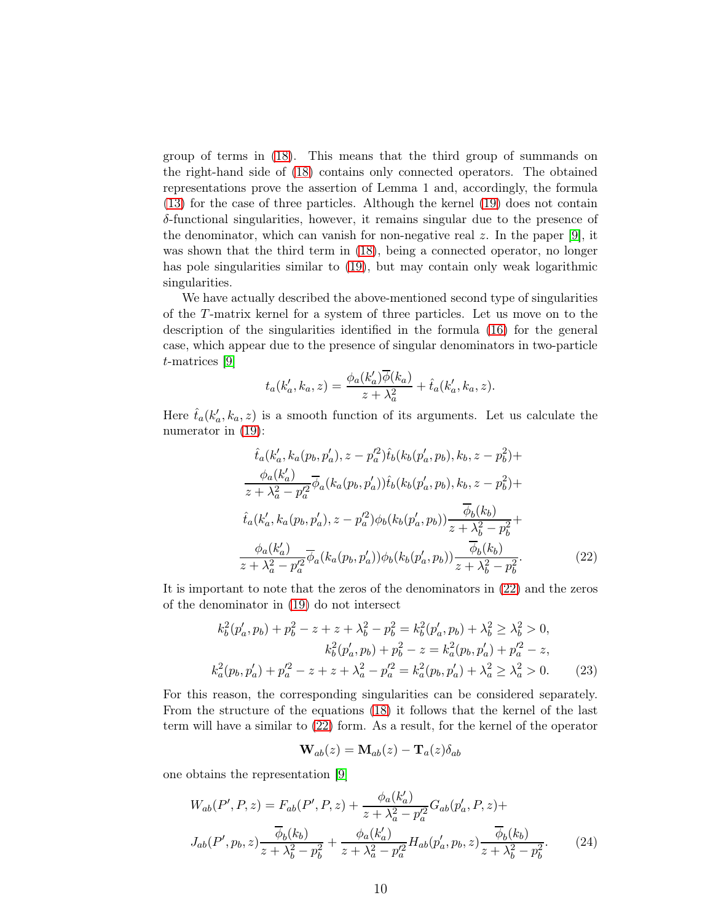group of terms in [\(18\)](#page-8-4). This means that the third group of summands on the right-hand side of [\(18\)](#page-8-4) contains only connected operators. The obtained representations prove the assertion of Lemma 1 and, accordingly, the formula [\(13\)](#page-6-2) for the case of three particles. Although the kernel [\(19\)](#page-8-2) does not contain δ-functional singularities, however, it remains singular due to the presence of the denominator, which can vanish for non-negative real  $z$ . In the paper [\[9\]](#page-19-8), it was shown that the third term in  $(18)$ , being a connected operator, no longer has pole singularities similar to [\(19\)](#page-8-2), but may contain only weak logarithmic singularities.

We have actually described the above-mentioned second type of singularities of the T-matrix kernel for a system of three particles. Let us move on to the description of the singularities identified in the formula [\(16\)](#page-7-0) for the general case, which appear due to the presence of singular denominators in two-particle t-matrices [\[9\]](#page-19-8)

$$
t_a(k'_a, k_a, z) = \frac{\phi_a(k'_a)\overline{\phi}(k_a)}{z + \lambda_a^2} + \hat{t}_a(k'_a, k_a, z).
$$

Here  $\hat{t}_a(k'_a, k_a, z)$  is a smooth function of its arguments. Let us calculate the numerator in [\(19\)](#page-8-2):

$$
\hat{t}_{a}(k'_{a}, k_{a}(p_{b}, p'_{a}), z - p'^{2}_{a})\hat{t}_{b}(k_{b}(p'_{a}, p_{b}), k_{b}, z - p^{2}_{b}) + \n\frac{\phi_{a}(k'_{a})}{z + \lambda_{a}^{2} - p'^{2}_{a}}\overline{\phi}_{a}(k_{a}(p_{b}, p'_{a}))\hat{t}_{b}(k_{b}(p'_{a}, p_{b}), k_{b}, z - p^{2}_{b}) + \n\hat{t}_{a}(k'_{a}, k_{a}(p_{b}, p'_{a}), z - p'^{2}_{a})\phi_{b}(k_{b}(p'_{a}, p_{b}))\frac{\overline{\phi}_{b}(k_{b})}{z + \lambda_{b}^{2} - p^{2}_{b}} + \n\frac{\phi_{a}(k'_{a})}{z + \lambda_{a}^{2} - p'^{2}_{a}}\overline{\phi}_{a}(k_{a}(p_{b}, p'_{a}))\phi_{b}(k_{b}(p'_{a}, p_{b}))\frac{\overline{\phi}_{b}(k_{b})}{z + \lambda_{b}^{2} - p^{2}_{b}}.
$$
\n(22)

It is important to note that the zeros of the denominators in [\(22\)](#page-9-0) and the zeros of the denominator in [\(19\)](#page-8-2) do not intersect

$$
k_b^2(p'_a, p_b) + p_b^2 - z + z + \lambda_b^2 - p_b^2 = k_b^2(p'_a, p_b) + \lambda_b^2 \ge \lambda_b^2 > 0,
$$
  
\n
$$
k_b^2(p'_a, p_b) + p_b^2 - z = k_a^2(p_b, p'_a) + p'_a^2 - z,
$$
  
\n
$$
k_a^2(p_b, p'_a) + p'_a^2 - z + z + \lambda_a^2 - p'_a^2 = k_a^2(p_b, p'_a) + \lambda_a^2 \ge \lambda_a^2 > 0.
$$
\n(23)

For this reason, the corresponding singularities can be considered separately. From the structure of the equations [\(18\)](#page-8-4) it follows that the kernel of the last term will have a similar to [\(22\)](#page-9-0) form. As a result, for the kernel of the operator

<span id="page-9-2"></span><span id="page-9-1"></span><span id="page-9-0"></span>
$$
\mathbf{W}_{ab}(z) = \mathbf{M}_{ab}(z) - \mathbf{T}_a(z) \delta_{ab}
$$

one obtains the representation [\[9\]](#page-19-8)

$$
W_{ab}(P', P, z) = F_{ab}(P', P, z) + \frac{\phi_a(k'_a)}{z + \lambda_a^2 - p'^2_a} G_{ab}(p'_a, P, z) +
$$
  

$$
J_{ab}(P', p_b, z) \frac{\overline{\phi}_b(k_b)}{z + \lambda_b^2 - p^2_b} + \frac{\phi_a(k'_a)}{z + \lambda_a^2 - p'^2_a} H_{ab}(p'_a, p_b, z) \frac{\overline{\phi}_b(k_b)}{z + \lambda_b^2 - p^2_b}.
$$
 (24)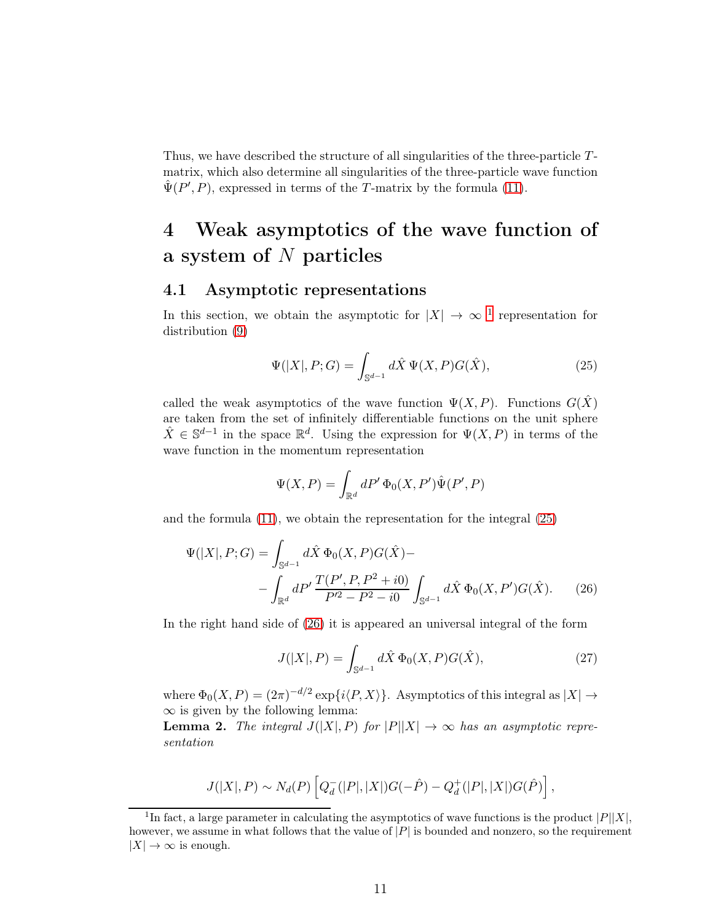Thus, we have described the structure of all singularities of the three-particle Tmatrix, which also determine all singularities of the three-particle wave function  $\hat{\Psi}(P', P)$ , expressed in terms of the T-matrix by the formula [\(11\)](#page-6-0).

## 4 Weak asymptotics of the wave function of a system of N particles

### 4.1 Asymptotic representations

In this section, we obtain the asymptotic for  $|X| \to \infty$  <sup>[1](#page-10-0)</sup> representation for distribution [\(9\)](#page-5-0)

<span id="page-10-1"></span>
$$
\Psi(|X|, P; G) = \int_{\mathbb{S}^{d-1}} d\hat{X} \, \Psi(X, P) G(\hat{X}), \tag{25}
$$

called the weak asymptotics of the wave function  $\Psi(X, P)$ . Functions  $G(\hat{X})$ are taken from the set of infinitely differentiable functions on the unit sphere  $\hat{X} \in \mathbb{S}^{d-1}$  in the space  $\mathbb{R}^d$ . Using the expression for  $\Psi(X, P)$  in terms of the wave function in the momentum representation

$$
\Psi(X, P) = \int_{\mathbb{R}^d} dP' \, \Phi_0(X, P') \hat{\Psi}(P', P)
$$

and the formula [\(11\)](#page-6-0), we obtain the representation for the integral [\(25\)](#page-10-1)

$$
\Psi(|X|, P; G) = \int_{\mathbb{S}^{d-1}} d\hat{X} \, \Phi_0(X, P) G(\hat{X}) -
$$

$$
- \int_{\mathbb{R}^d} dP' \, \frac{T(P', P, P^2 + i0)}{P'^2 - P^2 - i0} \int_{\mathbb{S}^{d-1}} d\hat{X} \, \Phi_0(X, P') G(\hat{X}). \tag{26}
$$

In the right hand side of [\(26\)](#page-10-2) it is appeared an universal integral of the form

<span id="page-10-3"></span><span id="page-10-2"></span>
$$
J(|X|, P) = \int_{\mathbb{S}^{d-1}} d\hat{X} \, \Phi_0(X, P) G(\hat{X}), \tag{27}
$$

where  $\Phi_0(X, P) = (2\pi)^{-d/2} \exp\{i\langle P, X \rangle\}$ . Asymptotics of this integral as  $|X| \to$  $\infty$  is given by the following lemma:

**Lemma 2.** The integral  $J(|X|, P)$  for  $|P||X| \to \infty$  has an asymptotic representation

$$
J(|X|, P) \sim N_d(P) \left[ Q_d^{-}(|P|, |X|) G(-\hat{P}) - Q_d^{+}(|P|, |X|) G(\hat{P}) \right],
$$

<span id="page-10-0"></span><sup>&</sup>lt;sup>1</sup>In fact, a large parameter in calculating the asymptotics of wave functions is the product  $|P||X|$ , however, we assume in what follows that the value of  $|P|$  is bounded and nonzero, so the requirement  $|X| \to \infty$  is enough.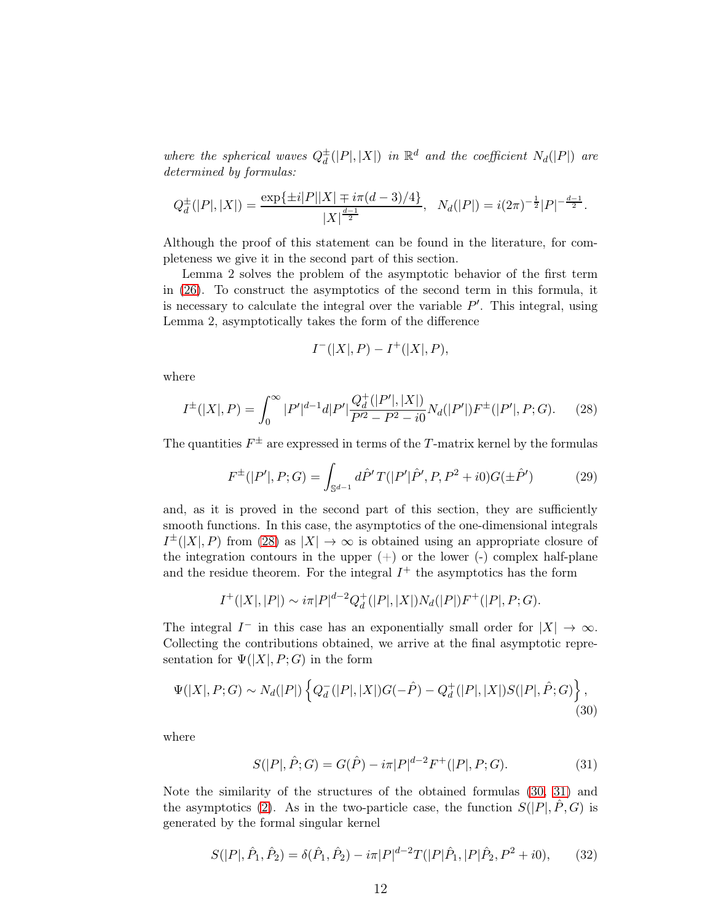where the spherical waves  $Q_d^{\pm}$  $\frac{d}{d}(|P|, |X|)$  in  $\mathbb{R}^d$  and the coefficient  $N_d(|P|)$  are determined by formulas:

$$
Q_d^{\pm}(|P|,|X|) = \frac{\exp\{\pm i|P||X| \mp i\pi(d-3)/4\}}{|X|^{\frac{d-1}{2}}}, \quad N_d(|P|) = i(2\pi)^{-\frac{1}{2}}|P|^{-\frac{d-1}{2}}.
$$

Although the proof of this statement can be found in the literature, for completeness we give it in the second part of this section.

Lemma 2 solves the problem of the asymptotic behavior of the first term in [\(26\)](#page-10-2). To construct the asymptotics of the second term in this formula, it is necessary to calculate the integral over the variable  $P'$ . This integral, using Lemma 2, asymptotically takes the form of the difference

<span id="page-11-4"></span>
$$
I^{-}(|X|, P) - I^{+}(|X|, P),
$$

where

<span id="page-11-0"></span>
$$
I^{\pm}(|X|,P) = \int_0^{\infty} |P'|^{d-1} d|P'| \frac{Q_d^+(|P'|,|X|)}{P'^2 - P^2 - i0} N_d(|P'|) F^{\pm}(|P'|,P;G). \tag{28}
$$

The quantities  $F^{\pm}$  are expressed in terms of the T-matrix kernel by the formulas

$$
F^{\pm}(|P'|, P; G) = \int_{\mathbb{S}^{d-1}} d\hat{P}' T(|P'|\hat{P}', P, P^2 + i0) G(\pm \hat{P}') \tag{29}
$$

and, as it is proved in the second part of this section, they are sufficiently smooth functions. In this case, the asymptotics of the one-dimensional integrals  $I^{\pm}(|X|, P)$  from [\(28\)](#page-11-0) as  $|X| \to \infty$  is obtained using an appropriate closure of the integration contours in the upper  $(+)$  or the lower  $(-)$  complex half-plane and the residue theorem. For the integral  $I^+$  the asymptotics has the form

$$
I^+(|X|,|P|) \sim i\pi |P|^{d-2} Q_d^+(|P|,|X|) N_d(|P|) F^+(|P|,P;G).
$$

The integral  $I^-$  in this case has an exponentially small order for  $|X| \to \infty$ . Collecting the contributions obtained, we arrive at the final asymptotic representation for  $\Psi(|X|, P; G)$  in the form

$$
\Psi(|X|, P; G) \sim N_d(|P|) \left\{ Q_d^{-}(|P|, |X|) G(-\hat{P}) - Q_d^{+}(|P|, |X|) S(|P|, \hat{P}; G) \right\},\tag{30}
$$

where

<span id="page-11-2"></span><span id="page-11-1"></span>
$$
S(|P|, \hat{P}; G) = G(\hat{P}) - i\pi |P|^{d-2} F^+(|P|, P; G). \tag{31}
$$

Note the similarity of the structures of the obtained formulas [\(30,](#page-11-1) [31\)](#page-11-2) and the asymptotics [\(2\)](#page-1-1). As in the two-particle case, the function  $S(|P|, \hat{P}, G)$  is generated by the formal singular kernel

<span id="page-11-3"></span>
$$
S(|P|, \hat{P}_1, \hat{P}_2) = \delta(\hat{P}_1, \hat{P}_2) - i\pi |P|^{d-2} T(|P|\hat{P}_1, |P|\hat{P}_2, P^2 + i0),\tag{32}
$$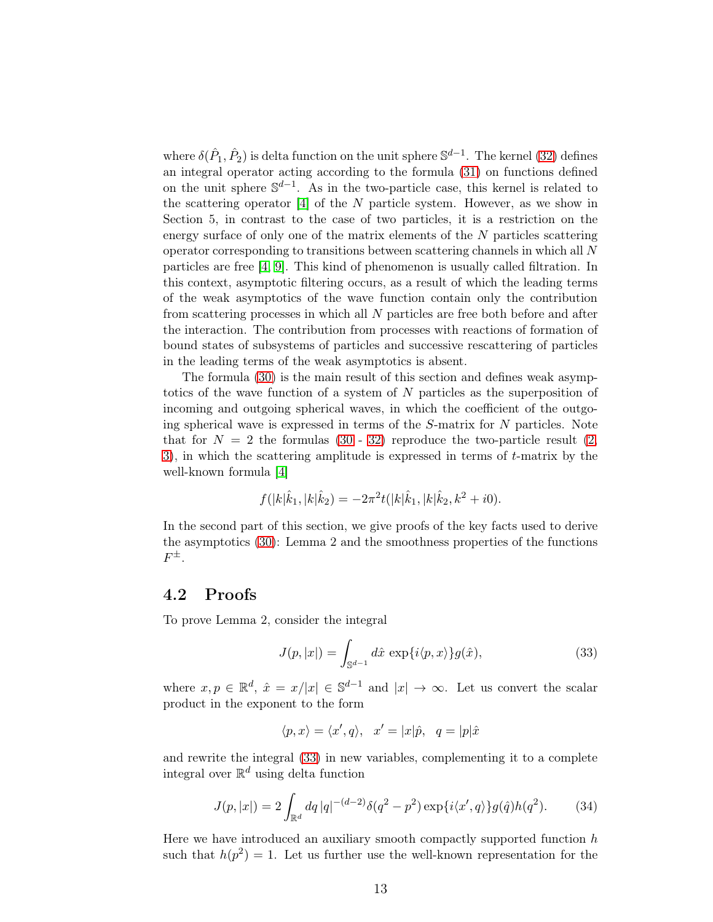where  $\delta(\hat{P}_1, \hat{P}_2)$  is delta function on the unit sphere  $\mathbb{S}^{d-1}$ . The kernel [\(32\)](#page-11-3) defines an integral operator acting according to the formula [\(31\)](#page-11-2) on functions defined on the unit sphere  $\mathbb{S}^{d-1}$ . As in the two-particle case, this kernel is related to the scattering operator  $[4]$  of the N particle system. However, as we show in Section 5, in contrast to the case of two particles, it is a restriction on the energy surface of only one of the matrix elements of the N particles scattering operator corresponding to transitions between scattering channels in which all N particles are free [\[4,](#page-19-3) [9\]](#page-19-8). This kind of phenomenon is usually called filtration. In this context, asymptotic filtering occurs, as a result of which the leading terms of the weak asymptotics of the wave function contain only the contribution from scattering processes in which all N particles are free both before and after the interaction. The contribution from processes with reactions of formation of bound states of subsystems of particles and successive rescattering of particles in the leading terms of the weak asymptotics is absent.

The formula [\(30\)](#page-11-1) is the main result of this section and defines weak asymptotics of the wave function of a system of N particles as the superposition of incoming and outgoing spherical waves, in which the coefficient of the outgoing spherical wave is expressed in terms of the S-matrix for N particles. Note that for  $N = 2$  the formulas [\(30](#page-11-1) - [32\)](#page-11-3) reproduce the two-particle result [\(2,](#page-1-1) [3\)](#page-2-1), in which the scattering amplitude is expressed in terms of t-matrix by the well-known formula [\[4\]](#page-19-3)

$$
f(|k|\hat{k}_1, |k|\hat{k}_2) = -2\pi^2 t(|k|\hat{k}_1, |k|\hat{k}_2, k^2 + i0).
$$

In the second part of this section, we give proofs of the key facts used to derive the asymptotics [\(30\)](#page-11-1): Lemma 2 and the smoothness properties of the functions  $F^{\pm}.$ 

### 4.2 Proofs

To prove Lemma 2, consider the integral

<span id="page-12-0"></span>
$$
J(p, |x|) = \int_{\mathbb{S}^{d-1}} d\hat{x} \, \exp\{i\langle p, x \rangle\} g(\hat{x}), \tag{33}
$$

where  $x, p \in \mathbb{R}^d$ ,  $\hat{x} = x/|x| \in \mathbb{S}^{d-1}$  and  $|x| \to \infty$ . Let us convert the scalar product in the exponent to the form

$$
\langle p, x \rangle = \langle x', q \rangle, \quad x' = |x|\hat{p}, \quad q = |p|\hat{x}
$$

and rewrite the integral [\(33\)](#page-12-0) in new variables, complementing it to a complete integral over  $\mathbb{R}^d$  using delta function

<span id="page-12-1"></span>
$$
J(p, |x|) = 2 \int_{\mathbb{R}^d} dq |q|^{-(d-2)} \delta(q^2 - p^2) \exp{\{i\langle x', q \rangle\}} g(\hat{q}) h(q^2).
$$
 (34)

Here we have introduced an auxiliary smooth compactly supported function  $h$ such that  $h(p^2) = 1$ . Let us further use the well-known representation for the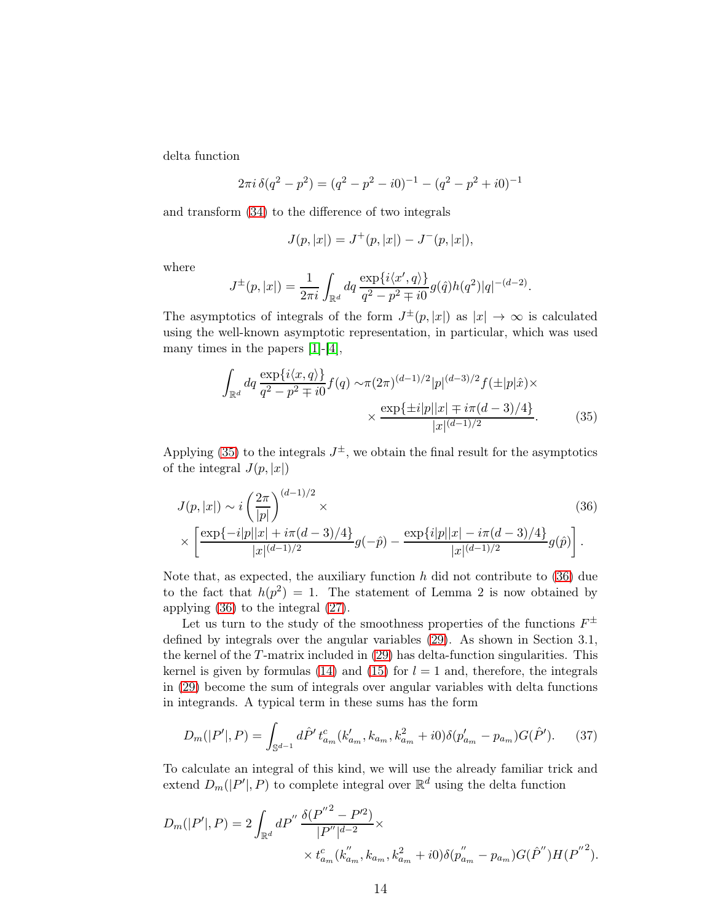delta function

$$
2\pi i \,\delta(q^2 - p^2) = (q^2 - p^2 - i0)^{-1} - (q^2 - p^2 + i0)^{-1}
$$

and transform [\(34\)](#page-12-1) to the difference of two integrals

<span id="page-13-0"></span>
$$
J(p, |x|) = J^+(p, |x|) - J^-(p, |x|),
$$

where

$$
J^{\pm}(p,|x|) = \frac{1}{2\pi i} \int_{\mathbb{R}^d} dq \, \frac{\exp\{i\langle x', q \rangle\}}{q^2 - p^2 \mp i0} g(\hat{q}) h(q^2) |q|^{-(d-2)}.
$$

The asymptotics of integrals of the form  $J^{\pm}(p,|x|)$  as  $|x| \to \infty$  is calculated using the well-known asymptotic representation, in particular, which was used many times in the papers [\[1\]](#page-19-0)-[\[4\]](#page-19-3),

<span id="page-13-1"></span>
$$
\int_{\mathbb{R}^d} dq \frac{\exp\{i\langle x, q \rangle\}}{q^2 - p^2 \mp i0} f(q) \sim \pi (2\pi)^{(d-1)/2} |p|^{(d-3)/2} f(\pm |p|\hat{x}) \times \frac{\exp\{\pm i|p||x| \mp i\pi (d-3)/4\}}{|x|^{(d-1)/2}}.
$$
\n(35)

Applying [\(35\)](#page-13-0) to the integrals  $J^{\pm}$ , we obtain the final result for the asymptotics of the integral  $J(p, |x|)$ 

$$
J(p, |x|) \sim i \left(\frac{2\pi}{|p|}\right)^{(d-1)/2} \times (36)
$$
  
 
$$
\times \left[\frac{\exp\{-i|p||x| + i\pi(d-3)/4\}}{|x|^{(d-1)/2}} g(-\hat{p}) - \frac{\exp\{i|p||x| - i\pi(d-3)/4\}}{|x|^{(d-1)/2}} g(\hat{p})\right].
$$

Note that, as expected, the auxiliary function  $h$  did not contribute to [\(36\)](#page-13-1) due to the fact that  $h(p^2) = 1$ . The statement of Lemma 2 is now obtained by applying [\(36\)](#page-13-1) to the integral [\(27\)](#page-10-3).

Let us turn to the study of the smoothness properties of the functions  $F^{\pm}$ defined by integrals over the angular variables [\(29\)](#page-11-4). As shown in Section 3.1, the kernel of the T-matrix included in [\(29\)](#page-11-4) has delta-function singularities. This kernel is given by formulas [\(14\)](#page-7-1) and [\(15\)](#page-7-2) for  $l = 1$  and, therefore, the integrals in [\(29\)](#page-11-4) become the sum of integrals over angular variables with delta functions in integrands. A typical term in these sums has the form

<span id="page-13-2"></span>
$$
D_m(|P'|,P) = \int_{\mathbb{S}^{d-1}} d\hat{P}' t_{a_m}^c(k_{a_m}', k_{a_m}, k_{a_m}^2 + i0) \delta(p'_{a_m} - p_{a_m}) G(\hat{P}'). \tag{37}
$$

To calculate an integral of this kind, we will use the already familiar trick and extend  $D_m(|P'|, P)$  to complete integral over  $\mathbb{R}^d$  using the delta function

$$
D_m(|P'|, P) = 2 \int_{\mathbb{R}^d} dP'' \frac{\delta(P''^2 - P'^2)}{|P''|^{d-2}} \times \times t_{a_m}^c(k_{a_m}''', k_{a_m}, k_{a_m}^2 + i0) \delta(p_{a_m}'' - p_{a_m}) G(\hat{P}'') H(P''^2).
$$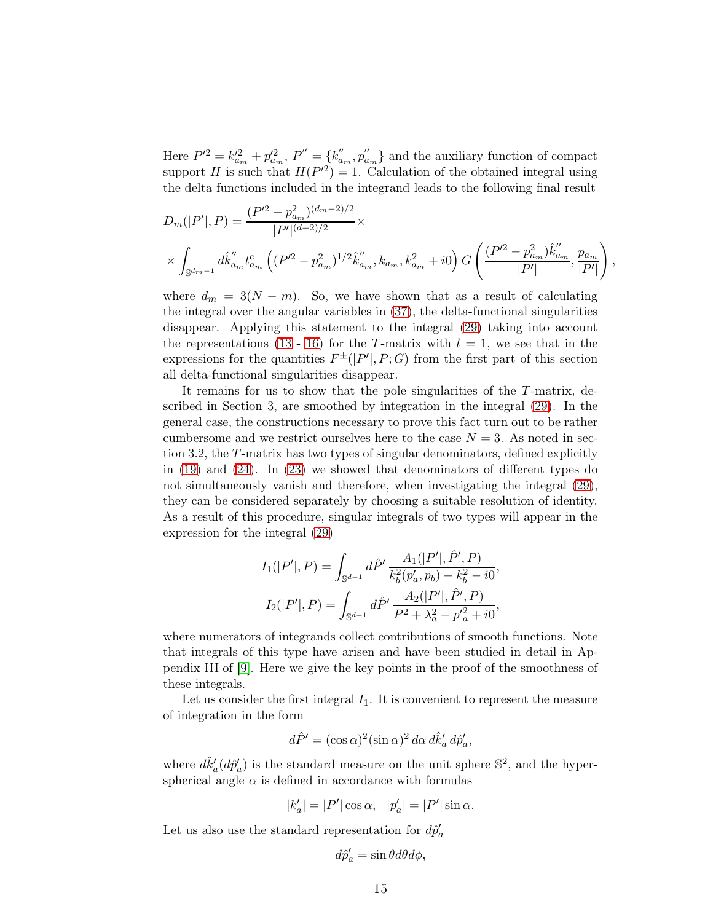Here  $P^{\prime 2} = k_{a_m}^{\prime 2} + p_{a_m}^{\prime 2}, P^{\prime\prime} = \{k_a^{\prime\prime}\}$  $a'_m, p''_a$  $a_{m}$ } and the auxiliary function of compact support H is such that  $H(P^2) = 1$ . Calculation of the obtained integral using the delta functions included in the integrand leads to the following final result

$$
D_m(|P'|, P) = \frac{(P'^2 - p_{a_m}^2)^{(d_m - 2)/2}}{|P'|^{(d-2)/2}} \times \times \int_{\mathbb{S}^{d_{m-1}}} d\hat{k}_{a_m}'' t_{a_m}^c \left( (P'^2 - p_{a_m}^2)^{1/2} \hat{k}_{a_m}'', k_{a_m}, k_{a_m}^2 + i0 \right) G \left( \frac{(P'^2 - p_{a_m}^2) \hat{k}_{a_m}''}{|P'|}, \frac{p_{a_m}}{|P'|} \right),
$$

where  $d_m = 3(N - m)$ . So, we have shown that as a result of calculating the integral over the angular variables in [\(37\)](#page-13-2), the delta-functional singularities disappear. Applying this statement to the integral [\(29\)](#page-11-4) taking into account the representations [\(13](#page-6-2) - [16\)](#page-7-0) for the T-matrix with  $l = 1$ , we see that in the expressions for the quantities  $F^{\pm}(|P'|, P; G)$  from the first part of this section all delta-functional singularities disappear.

It remains for us to show that the pole singularities of the T-matrix, described in Section 3, are smoothed by integration in the integral [\(29\)](#page-11-4). In the general case, the constructions necessary to prove this fact turn out to be rather cumbersome and we restrict ourselves here to the case  $N = 3$ . As noted in section 3.2, the T-matrix has two types of singular denominators, defined explicitly in [\(19\)](#page-8-2) and [\(24\)](#page-9-1). In [\(23\)](#page-9-2) we showed that denominators of different types do not simultaneously vanish and therefore, when investigating the integral [\(29\)](#page-11-4), they can be considered separately by choosing a suitable resolution of identity. As a result of this procedure, singular integrals of two types will appear in the expression for the integral [\(29\)](#page-11-4)

$$
I_1(|P'|, P) = \int_{\mathbb{S}^{d-1}} d\hat{P}' \frac{A_1(|P'|, \hat{P}', P)}{k_b^2(p'_a, p_b) - k_b^2 - i0},
$$
  

$$
I_2(|P'|, P) = \int_{\mathbb{S}^{d-1}} d\hat{P}' \frac{A_2(|P'|, \hat{P}', P)}{P^2 + \lambda_a^2 - p'_a^2 + i0},
$$

where numerators of integrands collect contributions of smooth functions. Note that integrals of this type have arisen and have been studied in detail in Appendix III of [\[9\]](#page-19-8). Here we give the key points in the proof of the smoothness of these integrals.

Let us consider the first integral  $I_1$ . It is convenient to represent the measure of integration in the form

$$
d\hat{P}' = (\cos \alpha)^2 (\sin \alpha)^2 d\alpha d\hat{k}'_a d\hat{p}'_a,
$$

where  $d\hat{k}'_a(d\hat{p}'_a)$  is the standard measure on the unit sphere  $\mathbb{S}^2$ , and the hyperspherical angle  $\alpha$  is defined in accordance with formulas

$$
|k'_a| = |P'| \cos \alpha, \quad |p'_a| = |P'| \sin \alpha.
$$

Let us also use the standard representation for  $d\hat{p}'_a$ 

$$
d\hat{p}'_a = \sin\theta d\theta d\phi,
$$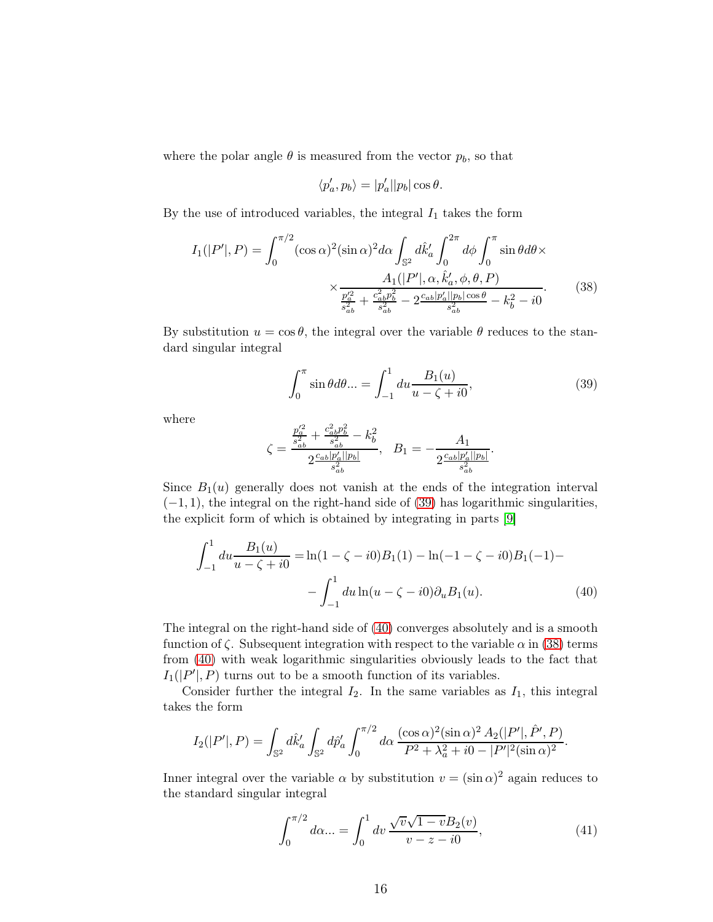where the polar angle  $\theta$  is measured from the vector  $p_b$ , so that

<span id="page-15-2"></span>
$$
\langle p'_a, p_b \rangle = |p'_a||p_b|\cos\theta.
$$

By the use of introduced variables, the integral  $I_1$  takes the form

$$
I_{1}(|P'|, P) = \int_{0}^{\pi/2} (\cos \alpha)^{2} (\sin \alpha)^{2} d\alpha \int_{\mathbb{S}^{2}} d\hat{k}'_{a} \int_{0}^{2\pi} d\phi \int_{0}^{\pi} \sin \theta d\theta \times
$$

$$
\times \frac{A_{1}(|P'|, \alpha, \hat{k}'_{a}, \phi, \theta, P)}{\frac{p_{a}^{\prime 2}}{s_{ab}^{2}} + \frac{c_{ab}^{2} p_{b}^{2}}{s_{ab}^{2}} - 2\frac{c_{ab}|p'_{a}||p_{b}|\cos \theta}{s_{ab}^{2}} - k_{b}^{2} - i0}.
$$
(38)

By substitution  $u = \cos \theta$ , the integral over the variable  $\theta$  reduces to the standard singular integral

<span id="page-15-0"></span>
$$
\int_0^\pi \sin \theta d\theta \dots = \int_{-1}^1 du \frac{B_1(u)}{u - \zeta + i0},\tag{39}
$$

where

<span id="page-15-1"></span>
$$
\zeta=\frac{\frac{p'^2_a}{s^2_{ab}}+\frac{c^2_{ab}p^2_b}{s^2_{ab}}-k^2_b}{2\frac{c_{ab}|p'_a||p_b|}{s^2_{ab}}},\ \ \, B_1=-\frac{A_1}{2\frac{c_{ab}|p'_a||p_b|}{s^2_{ab}}}.
$$

Since  $B_1(u)$  generally does not vanish at the ends of the integration interval  $(-1, 1)$ , the integral on the right-hand side of [\(39\)](#page-15-0) has logarithmic singularities, the explicit form of which is obtained by integrating in parts [\[9\]](#page-19-8)

$$
\int_{-1}^{1} du \frac{B_1(u)}{u - \zeta + i0} = \ln(1 - \zeta - i0)B_1(1) - \ln(-1 - \zeta - i0)B_1(-1) -
$$

$$
-\int_{-1}^{1} du \ln(u - \zeta - i0)\partial_u B_1(u). \tag{40}
$$

The integral on the right-hand side of [\(40\)](#page-15-1) converges absolutely and is a smooth function of  $\zeta$ . Subsequent integration with respect to the variable  $\alpha$  in [\(38\)](#page-15-2) terms from [\(40\)](#page-15-1) with weak logarithmic singularities obviously leads to the fact that  $I_1(|P'|, P)$  turns out to be a smooth function of its variables.

Consider further the integral  $I_2$ . In the same variables as  $I_1$ , this integral takes the form

$$
I_2(|P'|,P) = \int_{\mathbb{S}^2} d\hat{k}'_a \int_{\mathbb{S}^2} d\hat{p}'_a \int_0^{\pi/2} d\alpha \, \frac{(\cos \alpha)^2 (\sin \alpha)^2 A_2(|P'|, \hat{P}', P)}{P^2 + \lambda_a^2 + i0 - |P'|^2 (\sin \alpha)^2}.
$$

Inner integral over the variable  $\alpha$  by substitution  $v = (\sin \alpha)^2$  again reduces to the standard singular integral

<span id="page-15-3"></span>
$$
\int_0^{\pi/2} d\alpha \dots = \int_0^1 dv \, \frac{\sqrt{v}\sqrt{1-v}B_2(v)}{v-z-i0},\tag{41}
$$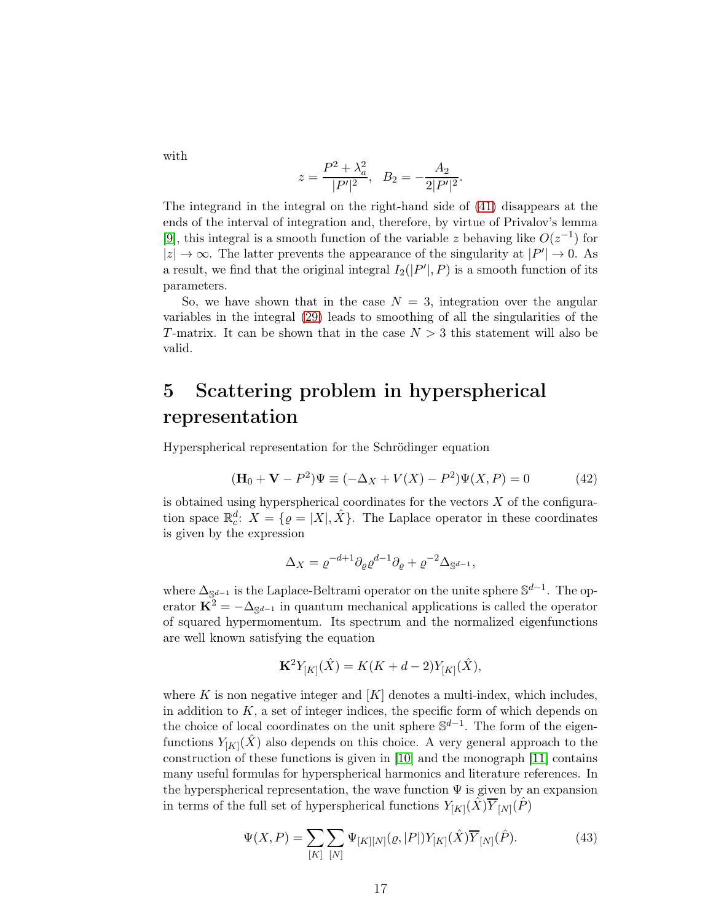with

$$
z = \frac{P^2 + \lambda_a^2}{|P'|^2}, \quad B_2 = -\frac{A_2}{2|P'|^2}.
$$

The integrand in the integral on the right-hand side of [\(41\)](#page-15-3) disappears at the ends of the interval of integration and, therefore, by virtue of Privalov's lemma [\[9\]](#page-19-8), this integral is a smooth function of the variable z behaving like  $O(z^{-1})$  for  $|z| \to \infty$ . The latter prevents the appearance of the singularity at  $|P'| \to 0$ . As a result, we find that the original integral  $I_2(|P'|, P)$  is a smooth function of its parameters.

So, we have shown that in the case  $N = 3$ , integration over the angular variables in the integral [\(29\)](#page-11-4) leads to smoothing of all the singularities of the T-matrix. It can be shown that in the case  $N > 3$  this statement will also be valid.

## 5 Scattering problem in hyperspherical representation

Hyperspherical representation for the Schrödinger equation

<span id="page-16-1"></span>
$$
(\mathbf{H}_0 + \mathbf{V} - P^2)\Psi \equiv (-\Delta_X + V(X) - P^2)\Psi(X, P) = 0
$$
 (42)

is obtained using hyperspherical coordinates for the vectors  $X$  of the configuration space  $\mathbb{R}_c^d$ :  $X = \{ \varrho = |X|, \hat{X} \}$ . The Laplace operator in these coordinates is given by the expression

$$
\Delta_X = \varrho^{-d+1} \partial_\varrho \varrho^{d-1} \partial_\varrho + \varrho^{-2} \Delta_{\mathbb{S}^{d-1}},
$$

where  $\Delta_{\mathbb{S}^{d-1}}$  is the Laplace-Beltrami operator on the unite sphere  $\mathbb{S}^{d-1}$ . The operator  $\mathbf{K}^2 = -\Delta_{\mathbb{S}^{d-1}}$  in quantum mechanical applications is called the operator of squared hypermomentum. Its spectrum and the normalized eigenfunctions are well known satisfying the equation

$$
\mathbf{K}^{2}Y_{[K]}(\hat{X}) = K(K + d - 2)Y_{[K]}(\hat{X}),
$$

where K is non negative integer and  $[K]$  denotes a multi-index, which includes, in addition to  $K$ , a set of integer indices, the specific form of which depends on the choice of local coordinates on the unit sphere  $\mathbb{S}^{d-1}$ . The form of the eigenfunctions  $Y_{[K]}(\hat{X})$  also depends on this choice. A very general approach to the construction of these functions is given in [\[10\]](#page-19-9) and the monograph [\[11\]](#page-19-10) contains many useful formulas for hyperspherical harmonics and literature references. In the hyperspherical representation, the wave function  $\Psi$  is given by an expansion in terms of the full set of hyperspherical functions  $Y_{[K]}(\hat{X})\overline{Y}_{[N]}(\hat{P})$ 

<span id="page-16-0"></span>
$$
\Psi(X, P) = \sum_{[K]} \sum_{[N]} \Psi_{[K][N]}(\varrho, |P|) Y_{[K]}(\hat{X}) \overline{Y}_{[N]}(\hat{P}).
$$
\n(43)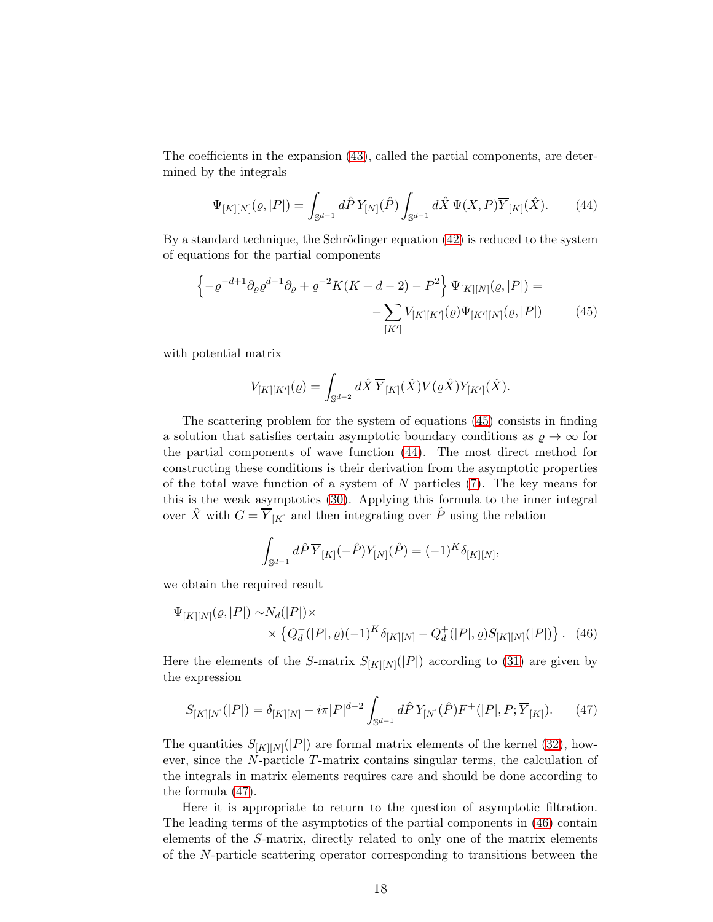The coefficients in the expansion [\(43\)](#page-16-0), called the partial components, are determined by the integrals

<span id="page-17-1"></span>
$$
\Psi_{[K][N]}(\varrho,|P|) = \int_{\mathbb{S}^{d-1}} d\hat{P} \, Y_{[N]}(\hat{P}) \int_{\mathbb{S}^{d-1}} d\hat{X} \, \Psi(X,P) \overline{Y}_{[K]}(\hat{X}). \tag{44}
$$

By a standard technique, the Schrödinger equation  $(42)$  is reduced to the system of equations for the partial components

$$
\left\{-\varrho^{-d+1}\partial_{\varrho}\varrho^{d-1}\partial_{\varrho} + \varrho^{-2}K(K+d-2) - P^2\right\}\Psi_{[K][N]}(\varrho,|P|) = -\sum_{[K']} V_{[K][K']}(\varrho)\Psi_{[K'][N]}(\varrho,|P|)
$$
(45)

with potential matrix

<span id="page-17-0"></span>
$$
V_{[K][K']}(q) = \int_{\mathbb{S}^{d-2}} d\hat{X} \, \overline{Y}_{[K]}(\hat{X}) V(\varrho \hat{X}) Y_{[K']}(\hat{X}).
$$

The scattering problem for the system of equations [\(45\)](#page-17-0) consists in finding a solution that satisfies certain asymptotic boundary conditions as  $\varrho \to \infty$  for the partial components of wave function [\(44\)](#page-17-1). The most direct method for constructing these conditions is their derivation from the asymptotic properties of the total wave function of a system of  $N$  particles  $(7)$ . The key means for this is the weak asymptotics [\(30\)](#page-11-1). Applying this formula to the inner integral over  $\hat{X}$  with  $G = \overline{Y}_{[K]}$  and then integrating over  $\hat{P}$  using the relation

<span id="page-17-3"></span><span id="page-17-2"></span>
$$
\int_{\mathbb{S}^{d-1}} d\hat{P} \, \overline{Y}_{[K]}(-\hat{P}) Y_{[N]}(\hat{P}) = (-1)^K \delta_{[K][N]},
$$

we obtain the required result

$$
\Psi_{[K][N]}(\varrho, |P|) \sim N_d(|P|) \times \times \left\{ Q_d^{-}(|P|, \varrho) (-1)^K \delta_{[K][N]} - Q_d^{+}(|P|, \varrho) S_{[K][N]}(|P|) \right\}. \tag{46}
$$

Here the elements of the S-matrix  $S_{[K][N]}(|P|)$  according to [\(31\)](#page-11-2) are given by the expression

$$
S_{[K][N]}(|P|) = \delta_{[K][N]} - i\pi |P|^{d-2} \int_{\mathbb{S}^{d-1}} d\hat{P} Y_{[N]}(\hat{P}) F^+(|P|, P; \overline{Y}_{[K]}). \tag{47}
$$

The quantities  $S_{[K][N]}(|P|)$  are formal matrix elements of the kernel [\(32\)](#page-11-3), however, since the N-particle T-matrix contains singular terms, the calculation of the integrals in matrix elements requires care and should be done according to the formula [\(47\)](#page-17-2).

Here it is appropriate to return to the question of asymptotic filtration. The leading terms of the asymptotics of the partial components in [\(46\)](#page-17-3) contain elements of the S-matrix, directly related to only one of the matrix elements of the N-particle scattering operator corresponding to transitions between the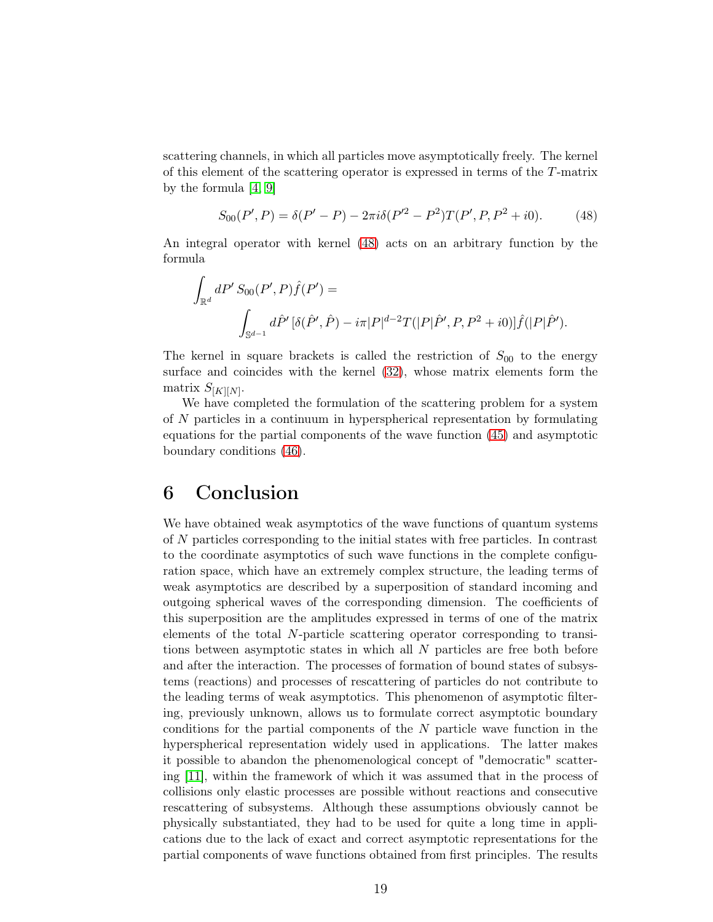scattering channels, in which all particles move asymptotically freely. The kernel of this element of the scattering operator is expressed in terms of the T-matrix by the formula [\[4,](#page-19-3) [9\]](#page-19-8)

<span id="page-18-0"></span>
$$
S_{00}(P',P) = \delta(P'-P) - 2\pi i \delta(P'^2 - P^2) T(P',P,P^2 + i0). \tag{48}
$$

An integral operator with kernel [\(48\)](#page-18-0) acts on an arbitrary function by the formula

$$
\int_{\mathbb{R}^d} dP' S_{00}(P', P) \hat{f}(P') =
$$
\n
$$
\int_{\mathbb{S}^{d-1}} d\hat{P}' [\delta(\hat{P}', \hat{P}) - i\pi |P|^{d-2} T(|P|\hat{P}', P, P^2 + i0)] \hat{f}(|P|\hat{P}').
$$

The kernel in square brackets is called the restriction of  $S_{00}$  to the energy surface and coincides with the kernel [\(32\)](#page-11-3), whose matrix elements form the matrix  $S_{[K][N]}$ .

We have completed the formulation of the scattering problem for a system of N particles in a continuum in hyperspherical representation by formulating equations for the partial components of the wave function [\(45\)](#page-17-0) and asymptotic boundary conditions [\(46\)](#page-17-3).

### 6 Conclusion

We have obtained weak asymptotics of the wave functions of quantum systems of N particles corresponding to the initial states with free particles. In contrast to the coordinate asymptotics of such wave functions in the complete configuration space, which have an extremely complex structure, the leading terms of weak asymptotics are described by a superposition of standard incoming and outgoing spherical waves of the corresponding dimension. The coefficients of this superposition are the amplitudes expressed in terms of one of the matrix elements of the total N-particle scattering operator corresponding to transitions between asymptotic states in which all N particles are free both before and after the interaction. The processes of formation of bound states of subsystems (reactions) and processes of rescattering of particles do not contribute to the leading terms of weak asymptotics. This phenomenon of asymptotic filtering, previously unknown, allows us to formulate correct asymptotic boundary conditions for the partial components of the  $N$  particle wave function in the hyperspherical representation widely used in applications. The latter makes it possible to abandon the phenomenological concept of "democratic" scattering [\[11\]](#page-19-10), within the framework of which it was assumed that in the process of collisions only elastic processes are possible without reactions and consecutive rescattering of subsystems. Although these assumptions obviously cannot be physically substantiated, they had to be used for quite a long time in applications due to the lack of exact and correct asymptotic representations for the partial components of wave functions obtained from first principles. The results